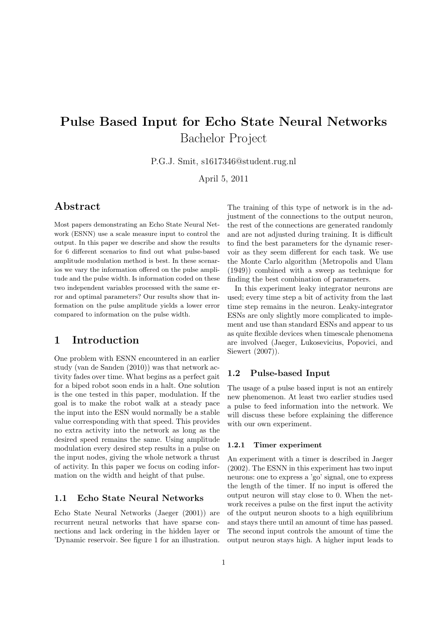# Pulse Based Input for Echo State Neural Networks Bachelor Project

P.G.J. Smit, s1617346@student.rug.nl

April 5, 2011

## Abstract

Most papers demonstrating an Echo State Neural Network (ESNN) use a scale measure input to control the output. In this paper we describe and show the results for 6 different scenarios to find out what pulse-based amplitude modulation method is best. In these scenarios we vary the information offered on the pulse amplitude and the pulse width. Is information coded on these two independent variables processed with the same error and optimal parameters? Our results show that information on the pulse amplitude yields a lower error compared to information on the pulse width.

### 1 Introduction

One problem with ESNN encountered in an earlier study (van de Sanden (2010)) was that network activity fades over time. What begins as a perfect gait for a biped robot soon ends in a halt. One solution is the one tested in this paper, modulation. If the goal is to make the robot walk at a steady pace the input into the ESN would normally be a stable value corresponding with that speed. This provides no extra activity into the network as long as the desired speed remains the same. Using amplitude modulation every desired step results in a pulse on the input nodes, giving the whole network a thrust of activity. In this paper we focus on coding information on the width and height of that pulse.

#### 1.1 Echo State Neural Networks

Echo State Neural Networks (Jaeger (2001)) are recurrent neural networks that have sparse connections and lack ordering in the hidden layer or 'Dynamic reservoir. See figure 1 for an illustration.

The training of this type of network is in the adjustment of the connections to the output neuron, the rest of the connections are generated randomly and are not adjusted during training. It is difficult to find the best parameters for the dynamic reservoir as they seem different for each task. We use the Monte Carlo algorithm (Metropolis and Ulam (1949)) combined with a sweep as technique for finding the best combination of parameters.

In this experiment leaky integrator neurons are used; every time step a bit of activity from the last time step remains in the neuron. Leaky-integrator ESNs are only slightly more complicated to implement and use than standard ESNs and appear to us as quite flexible devices when timescale phenomena are involved (Jaeger, Lukosevicius, Popovici, and Siewert (2007)).

#### 1.2 Pulse-based Input

The usage of a pulse based input is not an entirely new phenomenon. At least two earlier studies used a pulse to feed information into the network. We will discuss these before explaining the difference with our own experiment.

#### 1.2.1 Timer experiment

An experiment with a timer is described in Jaeger (2002). The ESNN in this experiment has two input neurons: one to express a 'go' signal, one to express the length of the timer. If no input is offered the output neuron will stay close to 0. When the network receives a pulse on the first input the activity of the output neuron shoots to a high equilibrium and stays there until an amount of time has passed. The second input controls the amount of time the output neuron stays high. A higher input leads to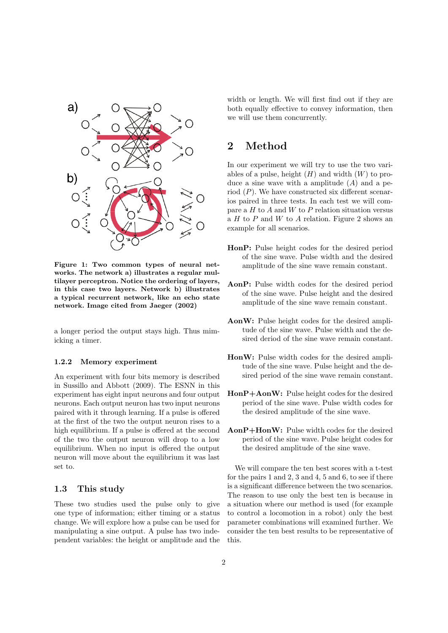

Figure 1: Two common types of neural networks. The network a) illustrates a regular multilayer perceptron. Notice the ordering of layers, in this case two layers. Network b) illustrates a typical recurrent network, like an echo state network. Image cited from Jaeger (2002)

a longer period the output stays high. Thus mimicking a timer.

#### 1.2.2 Memory experiment

An experiment with four bits memory is described in Sussillo and Abbott (2009). The ESNN in this experiment has eight input neurons and four output neurons. Each output neuron has two input neurons paired with it through learning. If a pulse is offered at the first of the two the output neuron rises to a high equilibrium. If a pulse is offered at the second of the two the output neuron will drop to a low equilibrium. When no input is offered the output neuron will move about the equilibrium it was last set to.

#### 1.3 This study

These two studies used the pulse only to give one type of information; either timing or a status change. We will explore how a pulse can be used for manipulating a sine output. A pulse has two independent variables: the height or amplitude and the width or length. We will first find out if they are both equally effective to convey information, then we will use them concurrently.

# 2 Method

In our experiment we will try to use the two variables of a pulse, height  $(H)$  and width  $(W)$  to produce a sine wave with a amplitude  $(A)$  and a period  $(P)$ . We have constructed six different scenarios paired in three tests. In each test we will compare a  $H$  to  $A$  and  $W$  to  $P$  relation situation versus a  $H$  to  $P$  and  $W$  to  $A$  relation. Figure 2 shows an example for all scenarios.

- HonP: Pulse height codes for the desired period of the sine wave. Pulse width and the desired amplitude of the sine wave remain constant.
- AonP: Pulse width codes for the desired period of the sine wave. Pulse height and the desired amplitude of the sine wave remain constant.
- AonW: Pulse height codes for the desired amplitude of the sine wave. Pulse width and the desired deriod of the sine wave remain constant.
- HonW: Pulse width codes for the desired amplitude of the sine wave. Pulse height and the desired period of the sine wave remain constant.
- HonP+AonW: Pulse height codes for the desired period of the sine wave. Pulse width codes for the desired amplitude of the sine wave.
- AonP+HonW: Pulse width codes for the desired period of the sine wave. Pulse height codes for the desired amplitude of the sine wave.

We will compare the ten best scores with a t-test for the pairs 1 and 2, 3 and 4, 5 and 6, to see if there is a significant difference between the two scenarios. The reason to use only the best ten is because in a situation where our method is used (for example to control a locomotion in a robot) only the best parameter combinations will examined further. We consider the ten best results to be representative of this.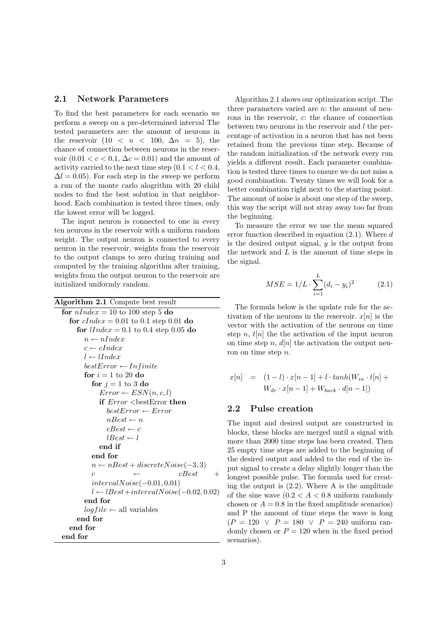#### 2.1 Network Parameters

To find the best parameters for each scenario we perform a sweep on a pre-determined interval The tested parameters are: the amount of neurons in the reservoir  $(10 \lt n \lt 100, \Delta n = 5)$ , the chance of connection between neurons in the reservoir  $(0.01 < c < 0.1, \Delta c = 0.01)$  and the amount of activity carried to the next time step  $(0.1 < l < 0.4,$  $\Delta l = 0.05$ . For each step in the sweep we perform a run of the monte carlo alogrithm with 20 child nodes to find the best solution in that neighborhood. Each combination is tested three times, only the lowest error will be logged.

The input neuron is connected to one in every ten neurons in the reservoir with a uniform random weight. The output neuron is connected to every neuron in the reservoir, weights from the reservoir to the output clamps to zero during training and computed by the training algorithm after training, weights from the output neuron to the reservoir are initialized uniformly random.

```
Algorithm 2.1 Compute best result
```

```
for nIndex = 10 to 100 step 5 do
  for cIndex = 0.01 to 0.1 step 0.01 do
     for lIndex = 0.1 to 0.4 step 0.05 do
       n \leftarrow nIndexc \leftarrow cIndexl \leftarrow lIndex
       bestError \leftarrow Infinitefor i = 1 to 20 do
         for i = 1 to 3 do
            Error \leftarrow ESN(n, c, l)if Error <bestError then
              bestError \leftarrow ErrornBest \leftarrow ncBest \leftarrow clBest \leftarrow lend if
         end for
         n \leftarrow nBest + discreteNoise(-3, 3)c ← cBestintervalNoise(−0.01, 0.01)
         l ← lBest+intervalNoise(-0.02, 0.02)
       end for
       log file \leftarrow all variables
     end for
  end for
end for
```
Algorithm 2.1 shows our optimization script. The three parameters varied are  $n$ : the amount of neurons in the reservoir, c: the chance of connection between two neurons in the reservoir and  $l$  the percentage of activation in a neuron that has not been retained from the previous time step. Because of the random initialization of the network every run yields a different result. Each parameter combination is tested three times to ensure we do not miss a good combination. Twenty times we will look for a better combination right next to the starting point. The amount of noise is about one step of the sweep, this way the script will not stray away too far from the beginning.

To measure the error we use the mean squared error function described in equation  $(2.1)$ . Where d is the desired output signal,  $y$  is the output from the network and  $L$  is the amount of time steps in the signal.

$$
MSE = 1/L \cdot \sum_{i=1}^{L} (d_i - y_i)^2
$$
 (2.1)

The formula below is the update rule for the activation of the neurons in the reservoir.  $x[n]$  is the vector with the activation of the neurons on time step n,  $t[n]$  the the activation of the input neuron on time step n,  $d[n]$  the activation the output neuron on time step n.

$$
x[n] = (1-l) \cdot x[n-1] + l \cdot tanh(W_{in} \cdot t[n] + W_{dr} \cdot x[n-1] + W_{back} \cdot d[n-1])
$$

#### 2.2 Pulse creation

The input and desired output are constructed in blocks, these blocks are merged until a signal with more than 2000 time steps has been created. Then 25 empty time steps are added to the beginning of the desired output and added to the end of the input signal to create a delay slightly longer than the longest possible pulse. The formula used for creating the output is (2.2). Where A is the amplitude of the sine wave  $(0.2 < A < 0.8$  uniform randomly chosen or  $A = 0.8$  in the fixed amplitude scenarios) and P the amount of time steps the wave is long  $(P = 120 \lor P = 180 \lor P = 240 \text{ uniform ran-}$ domly chosen or  $P = 120$  when in the fixed period scenarios).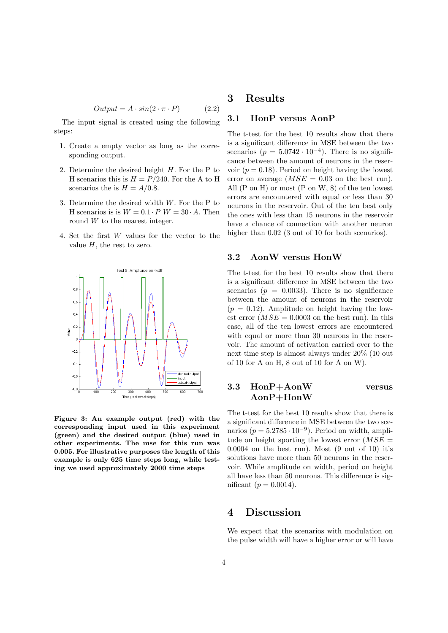$$
Output = A \cdot \sin(2 \cdot \pi \cdot P) \tag{2.2}
$$

The input signal is created using the following steps:

- 1. Create a empty vector as long as the corresponding output.
- 2. Determine the desired height H. For the P to H scenarios this is  $H = P/240$ . For the A to H scenarios the is  $H = A/0.8$ .
- 3. Determine the desired width  $W$ . For the P to H scenarios is is  $W = 0.1 \cdot P$   $W = 30 \cdot A$ . Then round W to the nearest integer.
- 4. Set the first W values for the vector to the value  $H$ , the rest to zero.



Figure 3: An example output (red) with the corresponding input used in this experiment (green) and the desired output (blue) used in other experiments. The mse for this run was 0.005. For illustrative purposes the length of this example is only 625 time steps long, while testing we used approximately 2000 time steps

# 3 Results

#### 3.1 HonP versus AonP

The t-test for the best 10 results show that there is a significant difference in MSE between the two scenarios  $(p = 5.0742 \cdot 10^{-4})$ . There is no significance between the amount of neurons in the reservoir  $(p = 0.18)$ . Period on height having the lowest error on average  $(MSE = 0.03$  on the best run). All  $(P \text{ on } H)$  or most  $(P \text{ on } W, 8)$  of the ten lowest errors are encountered with equal or less than 30 neurons in the reservoir. Out of the ten best only the ones with less than 15 neurons in the reservoir have a chance of connection with another neuron higher than  $0.02$  (3 out of 10 for both scenarios).

#### 3.2 AonW versus HonW

The t-test for the best 10 results show that there is a significant difference in MSE between the two scenarios ( $p = 0.0033$ ). There is no significance between the amount of neurons in the reservoir  $(p = 0.12)$ . Amplitude on height having the lowest error  $(MSE = 0.0003$  on the best run). In this case, all of the ten lowest errors are encountered with equal or more than 30 neurons in the reservoir. The amount of activation carried over to the next time step is almost always under 20% (10 out of 10 for A on H, 8 out of 10 for A on W).

### 3.3 HonP+AonW versus AonP+HonW

The t-test for the best 10 results show that there is a significant difference in MSE between the two scenarios ( $p = 5.2785 \cdot 10^{-9}$ ). Period on width, amplitude on height sporting the lowest error  $(MSE =$  $0.0004$  on the best run). Most  $(9 \text{ out of } 10)$  it's solutions have more than 50 neurons in the reservoir. While amplitude on width, period on height all have less than 50 neurons. This difference is significant ( $p = 0.0014$ ).

### 4 Discussion

We expect that the scenarios with modulation on the pulse width will have a higher error or will have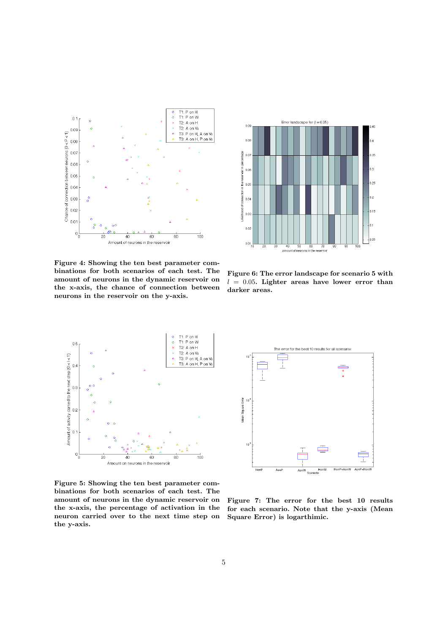



Figure 4: Showing the ten best parameter combinations for both scenarios of each test. The amount of neurons in the dynamic reservoir on the x-axis, the chance of connection between neurons in the reservoir on the y-axis.

Figure 6: The error landscape for scenario 5 with  $l = 0.05$ . Lighter areas have lower error than darker areas.



Figure 5: Showing the ten best parameter combinations for both scenarios of each test. The amount of neurons in the dynamic reservoir on the x-axis, the percentage of activation in the neuron carried over to the next time step on the y-axis.



Figure 7: The error for the best 10 results for each scenario. Note that the y-axis (Mean Square Error) is logarthimic.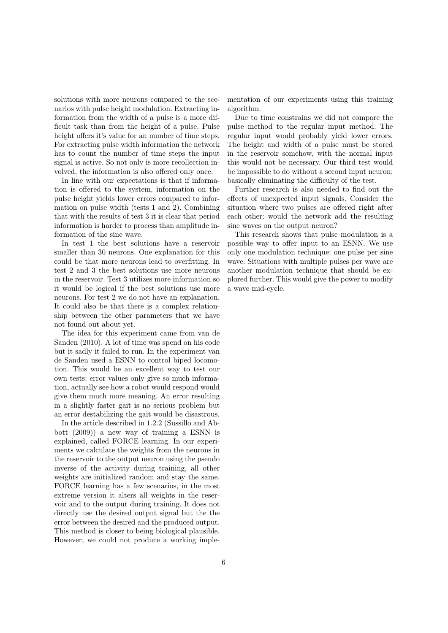solutions with more neurons compared to the scenarios with pulse height modulation. Extracting information from the width of a pulse is a more difficult task than from the height of a pulse. Pulse height offers it's value for an number of time steps. For extracting pulse width information the network has to count the number of time steps the input signal is active. So not only is more recollection involved, the information is also offered only once.

In line with our expectations is that if information is offered to the system, information on the pulse height yields lower errors compared to information on pulse width (tests 1 and 2). Combining that with the results of test 3 it is clear that period information is harder to process than amplitude information of the sine wave.

In test 1 the best solutions have a reservoir smaller than 30 neurons. One explanation for this could be that more neurons lead to overfitting. In test 2 and 3 the best solutions use more neurons in the reservoir. Test 3 utilizes more information so it would be logical if the best solutions use more neurons. For test 2 we do not have an explanation. It could also be that there is a complex relationship between the other parameters that we have not found out about yet.

The idea for this experiment came from van de Sanden (2010). A lot of time was spend on his code but it sadly it failed to run. In the experiment van de Sanden used a ESNN to control biped locomotion. This would be an excellent way to test our own tests: error values only give so much information, actually see how a robot would respond would give them much more meaning. An error resulting in a slightly faster gait is no serious problem but an error destabilizing the gait would be disastrous.

In the article described in 1.2.2 (Sussillo and Abbott (2009)) a new way of training a ESNN is explained, called FORCE learning. In our experiments we calculate the weights from the neurons in the reservoir to the output neuron using the pseudo inverse of the activity during training, all other weights are initialized random and stay the same. FORCE learning has a few scenarios, in the most extreme version it alters all weights in the reservoir and to the output during training. It does not directly use the desired output signal but the the error between the desired and the produced output. This method is closer to being biological plausible. However, we could not produce a working implementation of our experiments using this training algorithm.

Due to time constrains we did not compare the pulse method to the regular input method. The regular input would probably yield lower errors. The height and width of a pulse must be stored in the reservoir somehow, with the normal input this would not be necessary. Our third test would be impossible to do without a second input neuron; basically eliminating the difficulty of the test.

Further research is also needed to find out the effects of unexpected input signals. Consider the situation where two pulses are offered right after each other: would the network add the resulting sine waves on the output neuron?

This research shows that pulse modulation is a possible way to offer input to an ESNN. We use only one modulation technique: one pulse per sine wave. Situations with multiple pulses per wave are another modulation technique that should be explored further. This would give the power to modify a wave mid-cycle.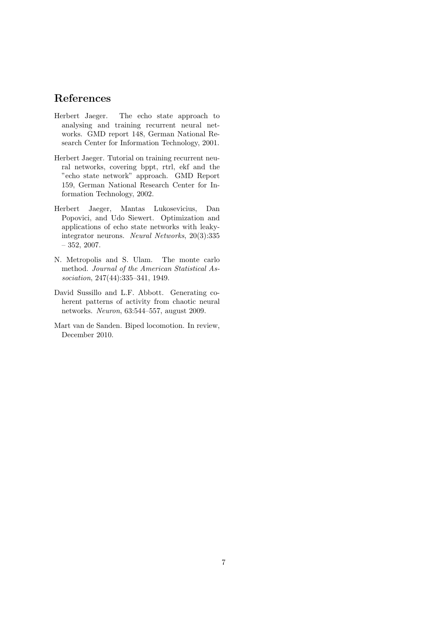# References

- Herbert Jaeger. The echo state approach to analysing and training recurrent neural networks. GMD report 148, German National Research Center for Information Technology, 2001.
- Herbert Jaeger. Tutorial on training recurrent neural networks, covering bppt, rtrl, ekf and the "echo state network" approach. GMD Report 159, German National Research Center for Information Technology, 2002.
- Herbert Jaeger, Mantas Lukosevicius, Dan Popovici, and Udo Siewert. Optimization and applications of echo state networks with leakyintegrator neurons. Neural Networks, 20(3):335 – 352, 2007.
- N. Metropolis and S. Ulam. The monte carlo method. Journal of the American Statistical Association, 247(44):335–341, 1949.
- David Sussillo and L.F. Abbott. Generating coherent patterns of activity from chaotic neural networks. Neuron, 63:544–557, august 2009.
- Mart van de Sanden. Biped locomotion. In review, December 2010.